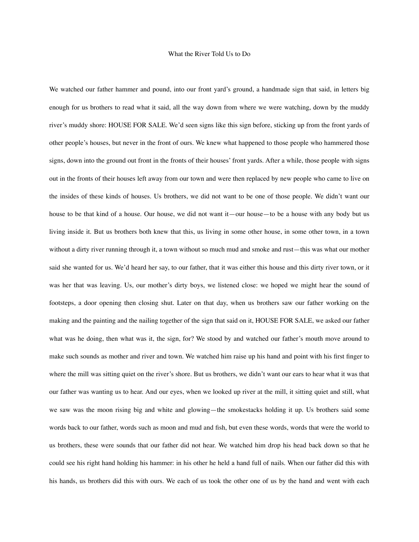## What the River Told Us to Do

We watched our father hammer and pound, into our front yard's ground, a handmade sign that said, in letters big enough for us brothers to read what it said, all the way down from where we were watching, down by the muddy river's muddy shore: HOUSE FOR SALE. We'd seen signs like this sign before, sticking up from the front yards of other people's houses, but never in the front of ours. We knew what happened to those people who hammered those signs, down into the ground out front in the fronts of their houses' front yards. After a while, those people with signs out in the fronts of their houses left away from our town and were then replaced by new people who came to live on the insides of these kinds of houses. Us brothers, we did not want to be one of those people. We didn't want our house to be that kind of a house. Our house, we did not want it—our house—to be a house with any body but us living inside it. But us brothers both knew that this, us living in some other house, in some other town, in a town without a dirty river running through it, a town without so much mud and smoke and rust—this was what our mother said she wanted for us. We'd heard her say, to our father, that it was either this house and this dirty river town, or it was her that was leaving. Us, our mother's dirty boys, we listened close: we hoped we might hear the sound of footsteps, a door opening then closing shut. Later on that day, when us brothers saw our father working on the making and the painting and the nailing together of the sign that said on it, HOUSE FOR SALE, we asked our father what was he doing, then what was it, the sign, for? We stood by and watched our father's mouth move around to make such sounds as mother and river and town. We watched him raise up his hand and point with his first finger to where the mill was sitting quiet on the river's shore. But us brothers, we didn't want our ears to hear what it was that our father was wanting us to hear. And our eyes, when we looked up river at the mill, it sitting quiet and still, what we saw was the moon rising big and white and glowing—the smokestacks holding it up. Us brothers said some words back to our father, words such as moon and mud and fish, but even these words, words that were the world to us brothers, these were sounds that our father did not hear. We watched him drop his head back down so that he could see his right hand holding his hammer: in his other he held a hand full of nails. When our father did this with his hands, us brothers did this with ours. We each of us took the other one of us by the hand and went with each